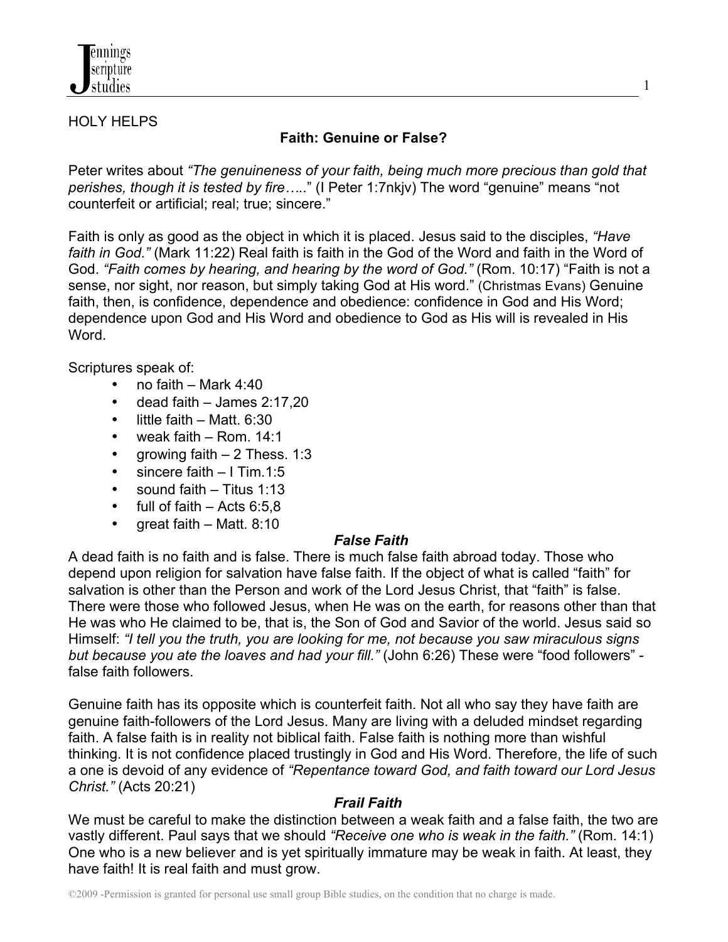

#### HOLY HELPS

# **Faith: Genuine or False?**

1

Peter writes about *"The genuineness of your faith, being much more precious than gold that perishes, though it is tested by fire…..*" (I Peter 1:7nkjv) The word "genuine" means "not counterfeit or artificial; real; true; sincere."

Faith is only as good as the object in which it is placed. Jesus said to the disciples, *"Have faith in God."* (Mark 11:22) Real faith is faith in the God of the Word and faith in the Word of God. *"Faith comes by hearing, and hearing by the word of God."* (Rom. 10:17) "Faith is not a sense, nor sight, nor reason, but simply taking God at His word." (Christmas Evans) Genuine faith, then, is confidence, dependence and obedience: confidence in God and His Word; dependence upon God and His Word and obedience to God as His will is revealed in His Word.

Scriptures speak of:

- no faith Mark 4:40
- dead faith James 2:17,20
- little faith Matt. 6:30
- weak faith Rom. 14:1
- growing faith 2 Thess. 1:3
- sincere faith I Tim.1:5
- sound faith Titus 1:13
- full of faith Acts  $6:5.8$
- great faith Matt. 8:10

## *False Faith*

A dead faith is no faith and is false. There is much false faith abroad today. Those who depend upon religion for salvation have false faith. If the object of what is called "faith" for salvation is other than the Person and work of the Lord Jesus Christ, that "faith" is false. There were those who followed Jesus, when He was on the earth, for reasons other than that He was who He claimed to be, that is, the Son of God and Savior of the world. Jesus said so Himself: *"I tell you the truth, you are looking for me, not because you saw miraculous signs but because you ate the loaves and had your fill."* (John 6:26) These were "food followers" false faith followers.

Genuine faith has its opposite which is counterfeit faith. Not all who say they have faith are genuine faith-followers of the Lord Jesus. Many are living with a deluded mindset regarding faith. A false faith is in reality not biblical faith. False faith is nothing more than wishful thinking. It is not confidence placed trustingly in God and His Word. Therefore, the life of such a one is devoid of any evidence of *"Repentance toward God, and faith toward our Lord Jesus Christ."* (Acts 20:21)

## *Frail Faith*

We must be careful to make the distinction between a weak faith and a false faith, the two are vastly different. Paul says that we should *"Receive one who is weak in the faith."* (Rom. 14:1) One who is a new believer and is yet spiritually immature may be weak in faith. At least, they have faith! It is real faith and must grow.